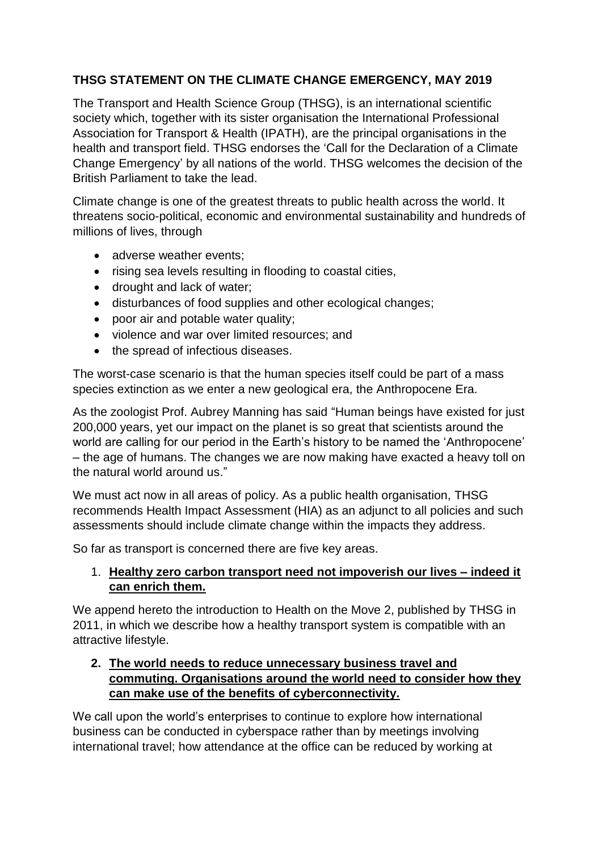# **THSG STATEMENT ON THE CLIMATE CHANGE EMERGENCY, MAY 2019**

The Transport and Health Science Group (THSG), is an international scientific society which, together with its sister organisation the International Professional Association for Transport & Health (IPATH), are the principal organisations in the health and transport field. THSG endorses the 'Call for the Declaration of a Climate Change Emergency' by all nations of the world. THSG welcomes the decision of the British Parliament to take the lead.

Climate change is one of the greatest threats to public health across the world. It threatens socio-political, economic and environmental sustainability and hundreds of millions of lives, through

- adverse weather events:
- rising sea levels resulting in flooding to coastal cities,
- drought and lack of water;
- disturbances of food supplies and other ecological changes;
- poor air and potable water quality;
- violence and war over limited resources; and
- the spread of infectious diseases.

The worst-case scenario is that the human species itself could be part of a mass species extinction as we enter a new geological era, the Anthropocene Era.

As the zoologist Prof. Aubrey Manning has said "Human beings have existed for just 200,000 years, yet our impact on the planet is so great that scientists around the world are calling for our period in the Earth's history to be named the 'Anthropocene' – the age of humans. The changes we are now making have exacted a heavy toll on the natural world around us."

We must act now in all areas of policy. As a public health organisation, THSG recommends Health Impact Assessment (HIA) as an adjunct to all policies and such assessments should include climate change within the impacts they address.

So far as transport is concerned there are five key areas.

# 1. **Healthy zero carbon transport need not impoverish our lives – indeed it can enrich them.**

We append hereto the introduction to Health on the Move 2, published by THSG in 2011, in which we describe how a healthy transport system is compatible with an attractive lifestyle.

### **2. The world needs to reduce unnecessary business travel and commuting. Organisations around the world need to consider how they can make use of the benefits of cyberconnectivity.**

We call upon the world's enterprises to continue to explore how international business can be conducted in cyberspace rather than by meetings involving international travel; how attendance at the office can be reduced by working at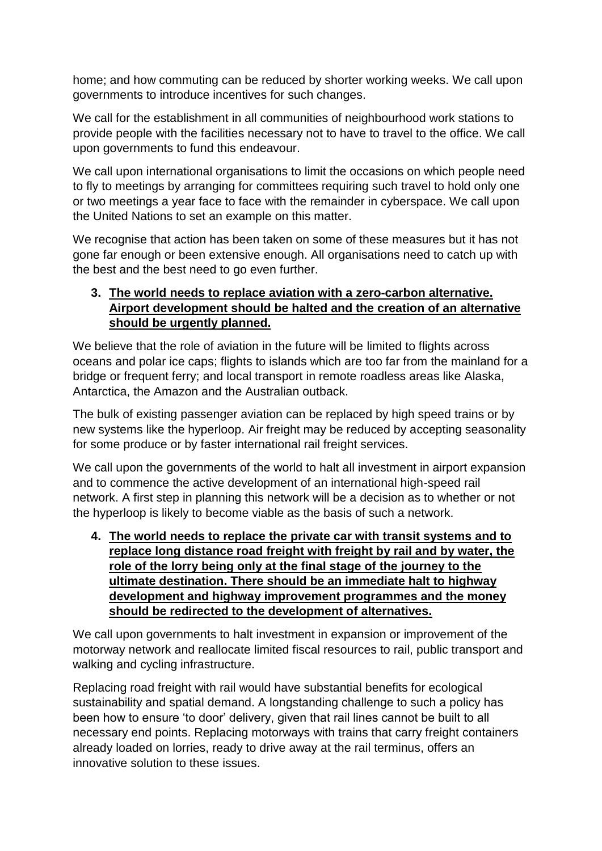home; and how commuting can be reduced by shorter working weeks. We call upon governments to introduce incentives for such changes.

We call for the establishment in all communities of neighbourhood work stations to provide people with the facilities necessary not to have to travel to the office. We call upon governments to fund this endeavour.

We call upon international organisations to limit the occasions on which people need to fly to meetings by arranging for committees requiring such travel to hold only one or two meetings a year face to face with the remainder in cyberspace. We call upon the United Nations to set an example on this matter.

We recognise that action has been taken on some of these measures but it has not gone far enough or been extensive enough. All organisations need to catch up with the best and the best need to go even further.

# **3. The world needs to replace aviation with a zero-carbon alternative. Airport development should be halted and the creation of an alternative should be urgently planned.**

We believe that the role of aviation in the future will be limited to flights across oceans and polar ice caps; flights to islands which are too far from the mainland for a bridge or frequent ferry; and local transport in remote roadless areas like Alaska, Antarctica, the Amazon and the Australian outback.

The bulk of existing passenger aviation can be replaced by high speed trains or by new systems like the hyperloop. Air freight may be reduced by accepting seasonality for some produce or by faster international rail freight services.

We call upon the governments of the world to halt all investment in airport expansion and to commence the active development of an international high-speed rail network. A first step in planning this network will be a decision as to whether or not the hyperloop is likely to become viable as the basis of such a network.

**4. The world needs to replace the private car with transit systems and to replace long distance road freight with freight by rail and by water, the role of the lorry being only at the final stage of the journey to the ultimate destination. There should be an immediate halt to highway development and highway improvement programmes and the money should be redirected to the development of alternatives.**

We call upon governments to halt investment in expansion or improvement of the motorway network and reallocate limited fiscal resources to rail, public transport and walking and cycling infrastructure.

Replacing road freight with rail would have substantial benefits for ecological sustainability and spatial demand. A longstanding challenge to such a policy has been how to ensure 'to door' delivery, given that rail lines cannot be built to all necessary end points. Replacing motorways with trains that carry freight containers already loaded on lorries, ready to drive away at the rail terminus, offers an innovative solution to these issues.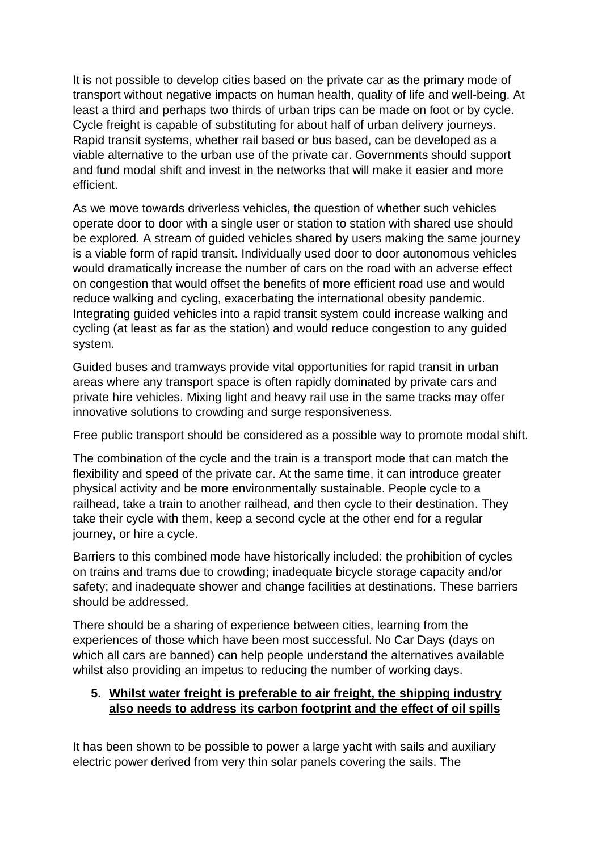It is not possible to develop cities based on the private car as the primary mode of transport without negative impacts on human health, quality of life and well-being. At least a third and perhaps two thirds of urban trips can be made on foot or by cycle. Cycle freight is capable of substituting for about half of urban delivery journeys. Rapid transit systems, whether rail based or bus based, can be developed as a viable alternative to the urban use of the private car. Governments should support and fund modal shift and invest in the networks that will make it easier and more efficient.

As we move towards driverless vehicles, the question of whether such vehicles operate door to door with a single user or station to station with shared use should be explored. A stream of guided vehicles shared by users making the same journey is a viable form of rapid transit. Individually used door to door autonomous vehicles would dramatically increase the number of cars on the road with an adverse effect on congestion that would offset the benefits of more efficient road use and would reduce walking and cycling, exacerbating the international obesity pandemic. Integrating guided vehicles into a rapid transit system could increase walking and cycling (at least as far as the station) and would reduce congestion to any guided system.

Guided buses and tramways provide vital opportunities for rapid transit in urban areas where any transport space is often rapidly dominated by private cars and private hire vehicles. Mixing light and heavy rail use in the same tracks may offer innovative solutions to crowding and surge responsiveness.

Free public transport should be considered as a possible way to promote modal shift.

The combination of the cycle and the train is a transport mode that can match the flexibility and speed of the private car. At the same time, it can introduce greater physical activity and be more environmentally sustainable. People cycle to a railhead, take a train to another railhead, and then cycle to their destination. They take their cycle with them, keep a second cycle at the other end for a regular journey, or hire a cycle.

Barriers to this combined mode have historically included: the prohibition of cycles on trains and trams due to crowding; inadequate bicycle storage capacity and/or safety; and inadequate shower and change facilities at destinations. These barriers should be addressed.

There should be a sharing of experience between cities, learning from the experiences of those which have been most successful. No Car Days (days on which all cars are banned) can help people understand the alternatives available whilst also providing an impetus to reducing the number of working days.

### **5. Whilst water freight is preferable to air freight, the shipping industry also needs to address its carbon footprint and the effect of oil spills**

It has been shown to be possible to power a large yacht with sails and auxiliary electric power derived from very thin solar panels covering the sails. The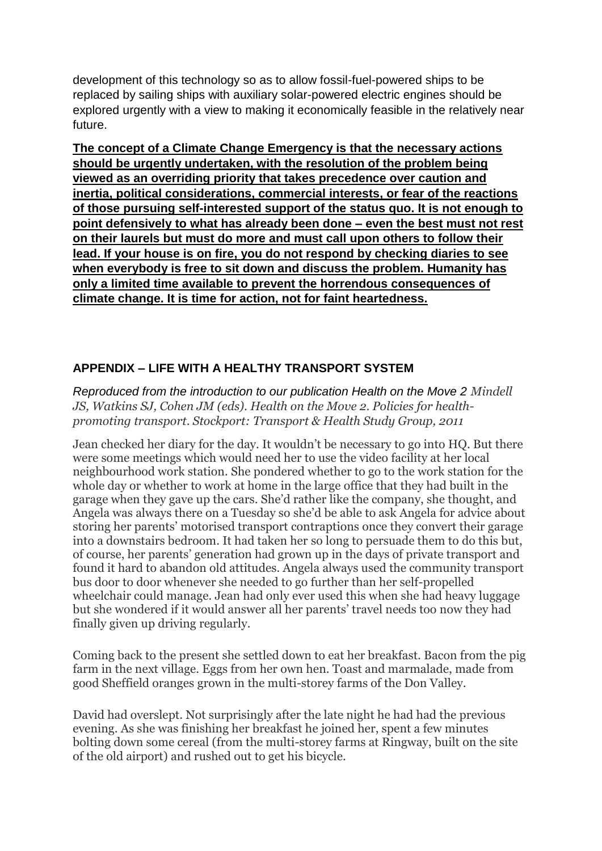development of this technology so as to allow fossil-fuel-powered ships to be replaced by sailing ships with auxiliary solar-powered electric engines should be explored urgently with a view to making it economically feasible in the relatively near future.

**The concept of a Climate Change Emergency is that the necessary actions should be urgently undertaken, with the resolution of the problem being viewed as an overriding priority that takes precedence over caution and inertia, political considerations, commercial interests, or fear of the reactions of those pursuing self-interested support of the status quo. It is not enough to point defensively to what has already been done – even the best must not rest on their laurels but must do more and must call upon others to follow their lead. If your house is on fire, you do not respond by checking diaries to see when everybody is free to sit down and discuss the problem. Humanity has only a limited time available to prevent the horrendous consequences of climate change. It is time for action, not for faint heartedness.**

# **APPENDIX – LIFE WITH A HEALTHY TRANSPORT SYSTEM**

*Reproduced from the introduction to our publication Health on the Move 2 Mindell JS, Watkins SJ, Cohen JM (eds). Health on the Move 2. Policies for healthpromoting transport*. *Stockport: Transport & Health Study Group, 2011*

Jean checked her diary for the day. It wouldn't be necessary to go into HQ. But there were some meetings which would need her to use the video facility at her local neighbourhood work station. She pondered whether to go to the work station for the whole day or whether to work at home in the large office that they had built in the garage when they gave up the cars. She'd rather like the company, she thought, and Angela was always there on a Tuesday so she'd be able to ask Angela for advice about storing her parents' motorised transport contraptions once they convert their garage into a downstairs bedroom. It had taken her so long to persuade them to do this but, of course, her parents' generation had grown up in the days of private transport and found it hard to abandon old attitudes. Angela always used the community transport bus door to door whenever she needed to go further than her self-propelled wheelchair could manage. Jean had only ever used this when she had heavy luggage but she wondered if it would answer all her parents' travel needs too now they had finally given up driving regularly.

Coming back to the present she settled down to eat her breakfast. Bacon from the pig farm in the next village. Eggs from her own hen. Toast and marmalade, made from good Sheffield oranges grown in the multi-storey farms of the Don Valley.

David had overslept. Not surprisingly after the late night he had had the previous evening. As she was finishing her breakfast he joined her, spent a few minutes bolting down some cereal (from the multi-storey farms at Ringway, built on the site of the old airport) and rushed out to get his bicycle.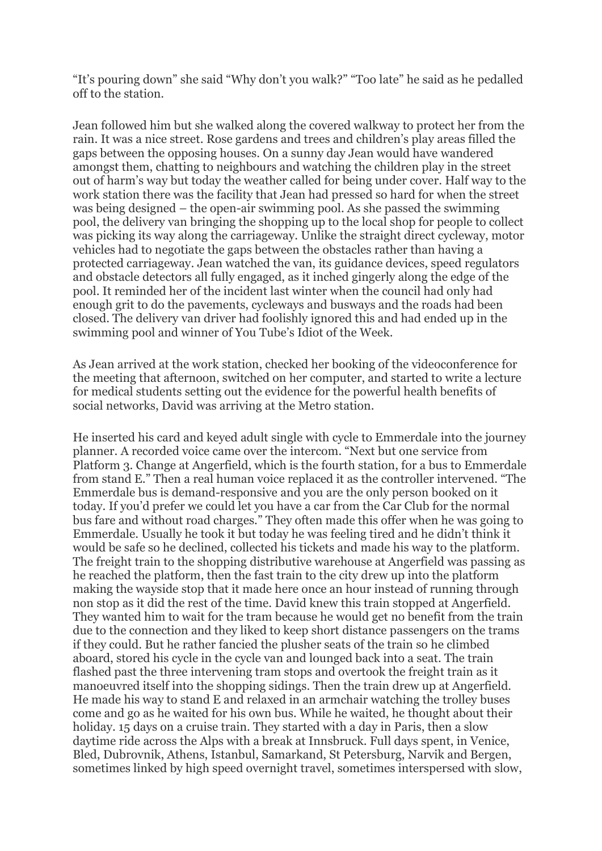"It's pouring down" she said "Why don't you walk?" "Too late" he said as he pedalled off to the station.

Jean followed him but she walked along the covered walkway to protect her from the rain. It was a nice street. Rose gardens and trees and children's play areas filled the gaps between the opposing houses. On a sunny day Jean would have wandered amongst them, chatting to neighbours and watching the children play in the street out of harm's way but today the weather called for being under cover. Half way to the work station there was the facility that Jean had pressed so hard for when the street was being designed – the open-air swimming pool. As she passed the swimming pool, the delivery van bringing the shopping up to the local shop for people to collect was picking its way along the carriageway. Unlike the straight direct cycleway, motor vehicles had to negotiate the gaps between the obstacles rather than having a protected carriageway. Jean watched the van, its guidance devices, speed regulators and obstacle detectors all fully engaged, as it inched gingerly along the edge of the pool. It reminded her of the incident last winter when the council had only had enough grit to do the pavements, cycleways and busways and the roads had been closed. The delivery van driver had foolishly ignored this and had ended up in the swimming pool and winner of You Tube's Idiot of the Week.

As Jean arrived at the work station, checked her booking of the videoconference for the meeting that afternoon, switched on her computer, and started to write a lecture for medical students setting out the evidence for the powerful health benefits of social networks, David was arriving at the Metro station.

He inserted his card and keyed adult single with cycle to Emmerdale into the journey planner. A recorded voice came over the intercom. "Next but one service from Platform 3. Change at Angerfield, which is the fourth station, for a bus to Emmerdale from stand E." Then a real human voice replaced it as the controller intervened. "The Emmerdale bus is demand-responsive and you are the only person booked on it today. If you'd prefer we could let you have a car from the Car Club for the normal bus fare and without road charges." They often made this offer when he was going to Emmerdale. Usually he took it but today he was feeling tired and he didn't think it would be safe so he declined, collected his tickets and made his way to the platform. The freight train to the shopping distributive warehouse at Angerfield was passing as he reached the platform, then the fast train to the city drew up into the platform making the wayside stop that it made here once an hour instead of running through non stop as it did the rest of the time. David knew this train stopped at Angerfield. They wanted him to wait for the tram because he would get no benefit from the train due to the connection and they liked to keep short distance passengers on the trams if they could. But he rather fancied the plusher seats of the train so he climbed aboard, stored his cycle in the cycle van and lounged back into a seat. The train flashed past the three intervening tram stops and overtook the freight train as it manoeuvred itself into the shopping sidings. Then the train drew up at Angerfield. He made his way to stand E and relaxed in an armchair watching the trolley buses come and go as he waited for his own bus. While he waited, he thought about their holiday. 15 days on a cruise train. They started with a day in Paris, then a slow daytime ride across the Alps with a break at Innsbruck. Full days spent, in Venice, Bled, Dubrovnik, Athens, Istanbul, Samarkand, St Petersburg, Narvik and Bergen, sometimes linked by high speed overnight travel, sometimes interspersed with slow,